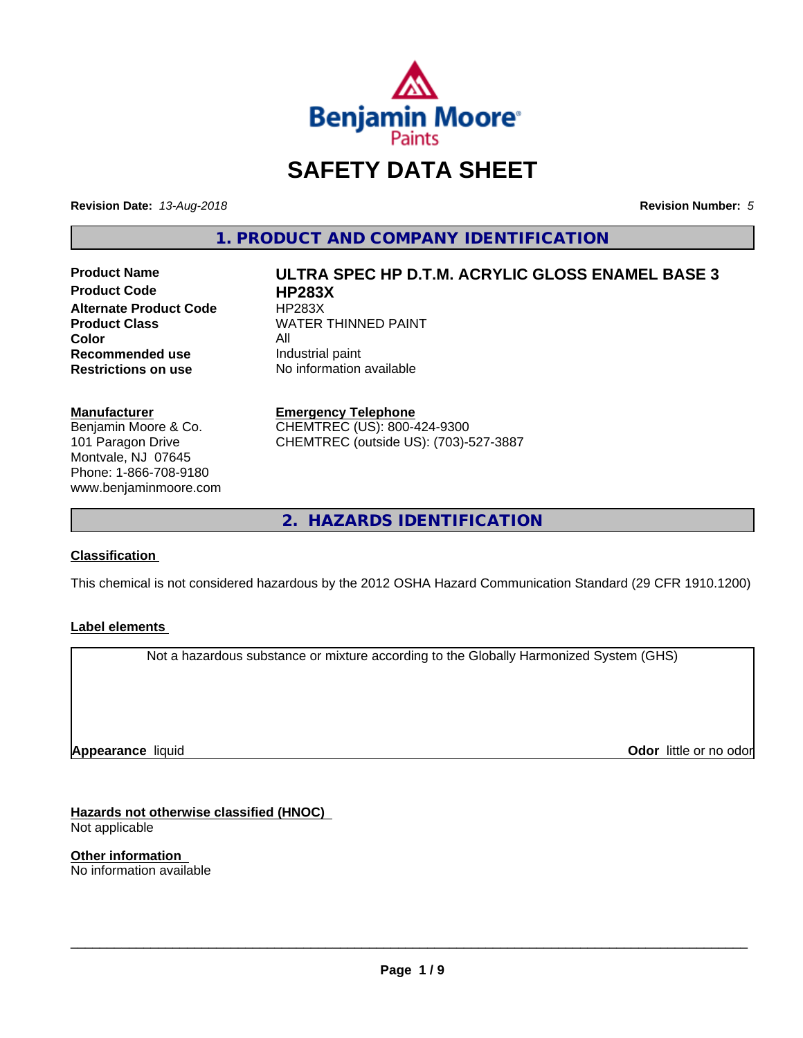

### **SAFETY DATA SHEET**

**Revision Date:** *13-Aug-2018* **Revision Number:** *5*

**1. PRODUCT AND COMPANY IDENTIFICATION**

**Product Code HP283X Alternate Product Code HP283X**<br>**Product Class NATER Color**<br> **Recommended use** The Industrial paint **Recommended use**<br>Restrictions on use

# **Product Name ULTRA SPEC HP D.T.M. ACRYLIC GLOSS ENAMEL BASE 3 WATER THINNED PAINT**

**No information available** 

**Emergency Telephone** CHEMTREC (US): 800-424-9300 CHEMTREC (outside US): (703)-527-3887

**2. HAZARDS IDENTIFICATION**

#### **Classification**

**Manufacturer**

Benjamin Moore & Co. 101 Paragon Drive Montvale, NJ 07645 Phone: 1-866-708-9180 www.benjaminmoore.com

This chemical is not considered hazardous by the 2012 OSHA Hazard Communication Standard (29 CFR 1910.1200)

#### **Label elements**

Not a hazardous substance or mixture according to the Globally Harmonized System (GHS)

**Appearance** liquid

**Odor** little or no odor

**Hazards not otherwise classified (HNOC)** Not applicable

**Other information** No information available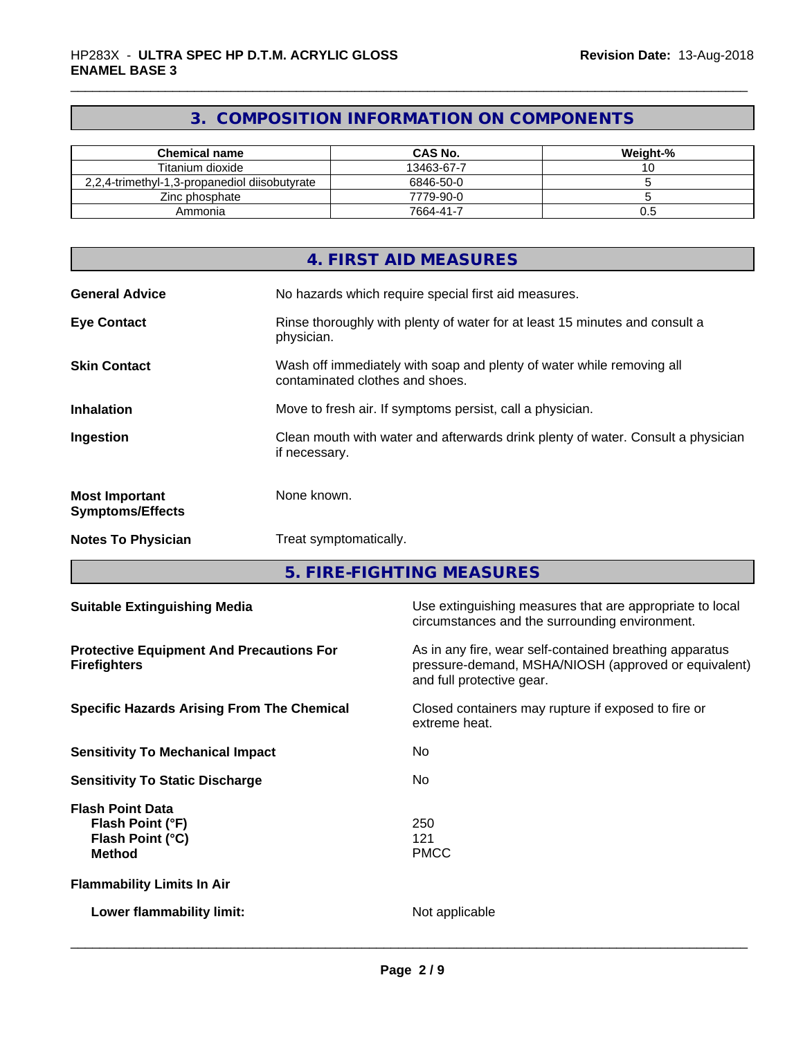### **3. COMPOSITION INFORMATION ON COMPONENTS**

| <b>Chemical name</b>                          | <b>CAS No.</b> | Weight-% |
|-----------------------------------------------|----------------|----------|
| Titanium dioxide                              | 13463-67-7     |          |
| 2.2.4-trimethyl-1.3-propanediol diisobutyrate | 6846-50-0      |          |
| Zinc phosphate                                | 7779-90-0      |          |
| Ammonia                                       | 7664-41-7      | U.G      |

|                                                  | 4. FIRST AID MEASURES                                                                                    |
|--------------------------------------------------|----------------------------------------------------------------------------------------------------------|
| <b>General Advice</b>                            | No hazards which require special first aid measures.                                                     |
| <b>Eye Contact</b>                               | Rinse thoroughly with plenty of water for at least 15 minutes and consult a<br>physician.                |
| <b>Skin Contact</b>                              | Wash off immediately with soap and plenty of water while removing all<br>contaminated clothes and shoes. |
| <b>Inhalation</b>                                | Move to fresh air. If symptoms persist, call a physician.                                                |
| Ingestion                                        | Clean mouth with water and afterwards drink plenty of water. Consult a physician<br>if necessary.        |
| <b>Most Important</b><br><b>Symptoms/Effects</b> | None known.                                                                                              |
| <b>Notes To Physician</b>                        | Treat symptomatically.                                                                                   |

**5. FIRE-FIGHTING MEASURES**

| <b>Suitable Extinguishing Media</b>                                              | Use extinguishing measures that are appropriate to local<br>circumstances and the surrounding environment.                                   |
|----------------------------------------------------------------------------------|----------------------------------------------------------------------------------------------------------------------------------------------|
| <b>Protective Equipment And Precautions For</b><br><b>Firefighters</b>           | As in any fire, wear self-contained breathing apparatus<br>pressure-demand, MSHA/NIOSH (approved or equivalent)<br>and full protective gear. |
| <b>Specific Hazards Arising From The Chemical</b>                                | Closed containers may rupture if exposed to fire or<br>extreme heat.                                                                         |
| <b>Sensitivity To Mechanical Impact</b>                                          | No.                                                                                                                                          |
| <b>Sensitivity To Static Discharge</b>                                           | No.                                                                                                                                          |
| <b>Flash Point Data</b><br>Flash Point (°F)<br>Flash Point (°C)<br><b>Method</b> | 250<br>121<br><b>PMCC</b>                                                                                                                    |
| <b>Flammability Limits In Air</b>                                                |                                                                                                                                              |
| Lower flammability limit:                                                        | Not applicable                                                                                                                               |
|                                                                                  |                                                                                                                                              |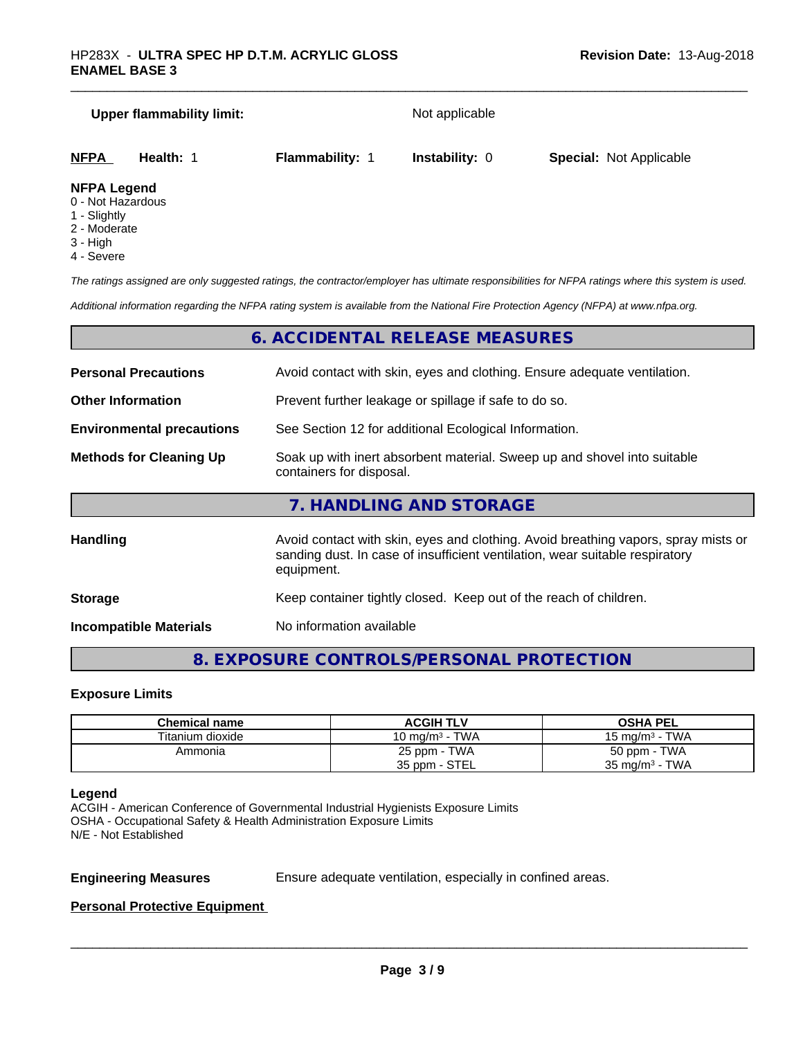# **Upper flammability limit:** Not applicable **NFPA Health:** 1 **Flammability:** 1 **Instability:** 0 **Special:** Not Applicable

#### **NFPA Legend**

- 0 Not Hazardous
- 1 Slightly
- 2 Moderate
- 3 High
- 4 Severe

*The ratings assigned are only suggested ratings, the contractor/employer has ultimate responsibilities for NFPA ratings where this system is used.*

*Additional information regarding the NFPA rating system is available from the National Fire Protection Agency (NFPA) at www.nfpa.org.*

#### **6. ACCIDENTAL RELEASE MEASURES**

| <b>Personal Precautions</b>                                                                                                            | Avoid contact with skin, eyes and clothing. Ensure adequate ventilation.                                                                                                         |
|----------------------------------------------------------------------------------------------------------------------------------------|----------------------------------------------------------------------------------------------------------------------------------------------------------------------------------|
| <b>Other Information</b>                                                                                                               | Prevent further leakage or spillage if safe to do so.                                                                                                                            |
| <b>Environmental precautions</b>                                                                                                       | See Section 12 for additional Ecological Information.                                                                                                                            |
| Soak up with inert absorbent material. Sweep up and shovel into suitable<br><b>Methods for Cleaning Up</b><br>containers for disposal. |                                                                                                                                                                                  |
|                                                                                                                                        | 7. HANDLING AND STORAGE                                                                                                                                                          |
| <b>Handling</b>                                                                                                                        | Avoid contact with skin, eyes and clothing. Avoid breathing vapors, spray mists or<br>sanding dust. In case of insufficient ventilation, wear suitable respiratory<br>equipment. |
| <b>Storage</b>                                                                                                                         | Keep container tightly closed. Keep out of the reach of children.                                                                                                                |

**Incompatible Materials** No information available

#### **8. EXPOSURE CONTROLS/PERSONAL PROTECTION**

#### **Exposure Limits**

| Chemical name    | <b>ACGIH TLV</b>   | <b>OSHA PEL</b>           |
|------------------|--------------------|---------------------------|
| Titanium dioxide | 10 mg/m $^3$ - TWA | 15 mg/m $3$ - TWA         |
| Ammonia          | 25 ppm - TWA       | 50 ppm - TWA              |
|                  | 35 ppm - STEL      | $35 \text{ mg/m}^3$ - TWA |

#### **Legend**

ACGIH - American Conference of Governmental Industrial Hygienists Exposure Limits OSHA - Occupational Safety & Health Administration Exposure Limits N/E - Not Established

**Engineering Measures** Ensure adequate ventilation, especially in confined areas.

 $\overline{\phantom{a}}$  ,  $\overline{\phantom{a}}$  ,  $\overline{\phantom{a}}$  ,  $\overline{\phantom{a}}$  ,  $\overline{\phantom{a}}$  ,  $\overline{\phantom{a}}$  ,  $\overline{\phantom{a}}$  ,  $\overline{\phantom{a}}$  ,  $\overline{\phantom{a}}$  ,  $\overline{\phantom{a}}$  ,  $\overline{\phantom{a}}$  ,  $\overline{\phantom{a}}$  ,  $\overline{\phantom{a}}$  ,  $\overline{\phantom{a}}$  ,  $\overline{\phantom{a}}$  ,  $\overline{\phantom{a}}$ 

#### **Personal Protective Equipment**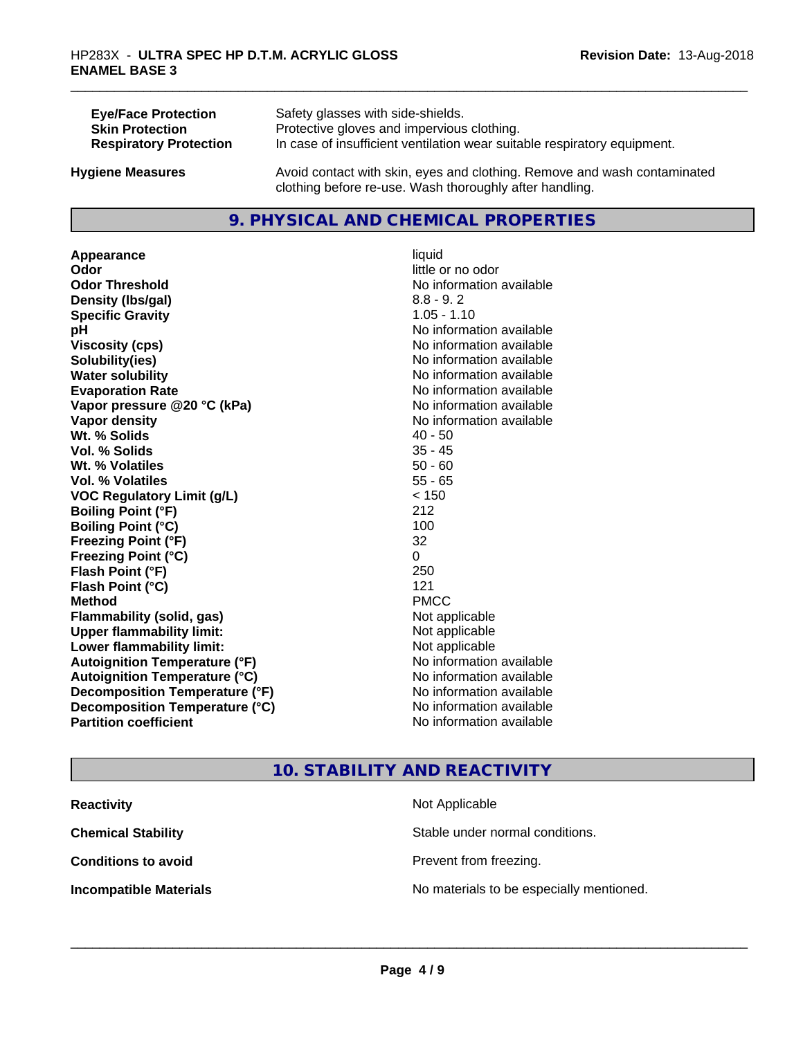| <b>Eye/Face Protection</b>    | Safety glasses with side-shields.                                        |
|-------------------------------|--------------------------------------------------------------------------|
| <b>Skin Protection</b>        | Protective gloves and impervious clothing.                               |
| <b>Respiratory Protection</b> | In case of insufficient ventilation wear suitable respiratory equipment. |
| <b>Hygiene Measures</b>       | Avoid contact with skin, eyes and clothing. Remove and wash contaminated |

#### **9. PHYSICAL AND CHEMICAL PROPERTIES**

clothing before re-use. Wash thoroughly after handling.

**Appearance** liquid **Odor** little or no odor **Odor Threshold No information available No information available Density (lbs/gal)** 8.8 - 9.2 **Specific Gravity** 1.05 - 1.10 **pH** No information available **Viscosity (cps)** No information available **Solubility(ies)** No information available **Water solubility Water solubility Water solubility Water solubility Water solubility Water solution Evaporation Rate No information available No information available Vapor pressure @20 °C (kPa)** No information available **Vapor density Vapor density No information available Wt. % Solids** 40 - 50<br> **Vol. % Solids** 35 - 45 **Vol. % Solids Wt. % Volatiles** 50 - 60 **Vol. % Volatiles** 55 - 65 **VOC Regulatory Limit (g/L)** < 150 **Boiling Point (°F)** 212 **Boiling Point (°C)** 100 **Freezing Point (°F)** 32 **Freezing Point (°C)** 0 **Flash Point (°F)** 250 **Flash Point (°C)** 121 **Method** PMCC **Flammability (solid, gas)** Not applicable **Upper flammability limit:** Not applicable **Lower flammability limit:** Not applicable **Autoignition Temperature (°F)** No information available **Autoignition Temperature (°C)** No information available **Decomposition Temperature (°F)** No information available **Decomposition Temperature (°C)**<br> **Partition coefficient Partition coefficient 1 Partition available No information available** 

**No information available** 

#### **10. STABILITY AND REACTIVITY**

| <b>Reactivity</b>             | Not Applicable                           |
|-------------------------------|------------------------------------------|
| <b>Chemical Stability</b>     | Stable under normal conditions.          |
| <b>Conditions to avoid</b>    | Prevent from freezing.                   |
| <b>Incompatible Materials</b> | No materials to be especially mentioned. |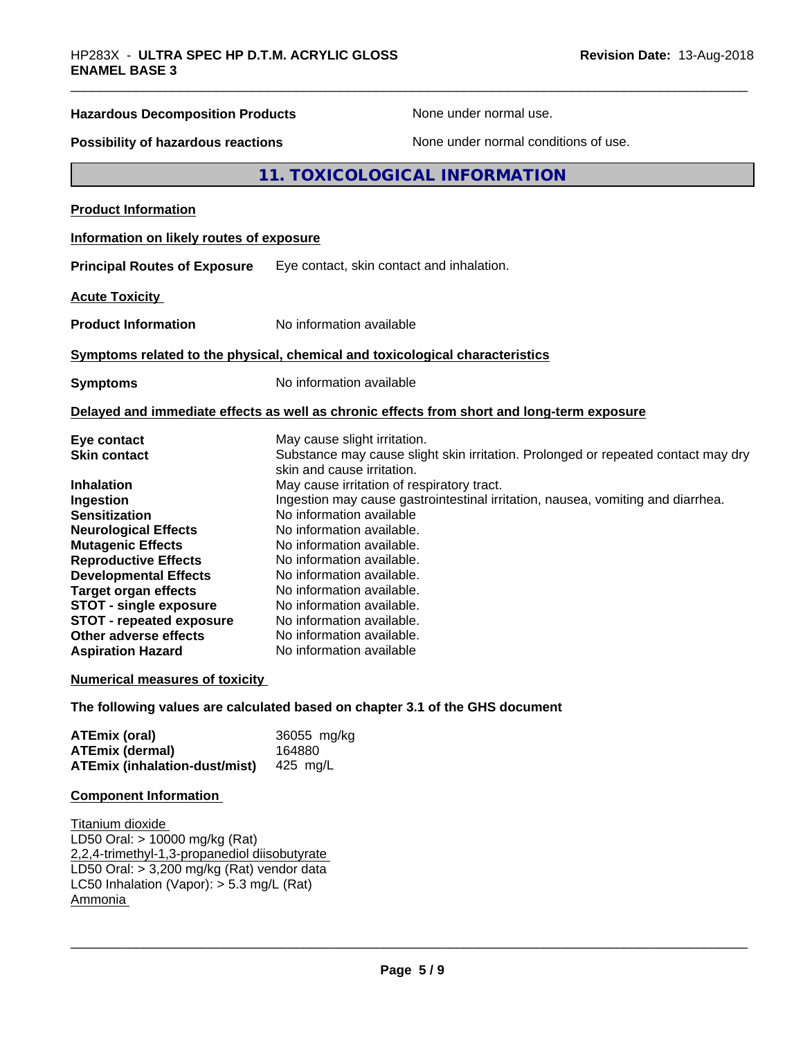## **Hazardous Decomposition Products** None under normal use. **Possibility of hazardous reactions** None under normal conditions of use. **11. TOXICOLOGICAL INFORMATION Product Information Information on likely routes of exposure Principal Routes of Exposure** Eye contact, skin contact and inhalation. **Acute Toxicity Product Information** No information available **Symptoms related to the physical,chemical and toxicological characteristics Symptoms** No information available **Delayed and immediate effects as well as chronic effects from short and long-term exposure**

| Eye contact                     | May cause slight irritation.                                                      |
|---------------------------------|-----------------------------------------------------------------------------------|
| <b>Skin contact</b>             | Substance may cause slight skin irritation. Prolonged or repeated contact may dry |
|                                 | skin and cause irritation.                                                        |
| <b>Inhalation</b>               | May cause irritation of respiratory tract.                                        |
| Ingestion                       | Ingestion may cause gastrointestinal irritation, nausea, vomiting and diarrhea.   |
| <b>Sensitization</b>            | No information available                                                          |
| <b>Neurological Effects</b>     | No information available.                                                         |
| <b>Mutagenic Effects</b>        | No information available.                                                         |
| <b>Reproductive Effects</b>     | No information available.                                                         |
| <b>Developmental Effects</b>    | No information available.                                                         |
| Target organ effects            | No information available.                                                         |
| <b>STOT - single exposure</b>   | No information available.                                                         |
| <b>STOT - repeated exposure</b> | No information available.                                                         |
| Other adverse effects           | No information available.                                                         |
| <b>Aspiration Hazard</b>        | No information available                                                          |
|                                 |                                                                                   |

#### **Numerical measures of toxicity**

**The following values are calculated based on chapter 3.1 of the GHS document**

| ATEmix (oral)                                           | 36055 mg/kg |
|---------------------------------------------------------|-------------|
| <b>ATEmix (dermal)</b>                                  | 164880      |
| <b>ATEmix (inhalation-dust/mist)</b> $425 \text{ mg/L}$ |             |

#### **Component Information**

Titanium dioxide LD50 Oral: > 10000 mg/kg (Rat) 2,2,4-trimethyl-1,3-propanediol diisobutyrate LD50 Oral: > 3,200 mg/kg (Rat) vendor data LC50 Inhalation (Vapor): > 5.3 mg/L (Rat) Ammonia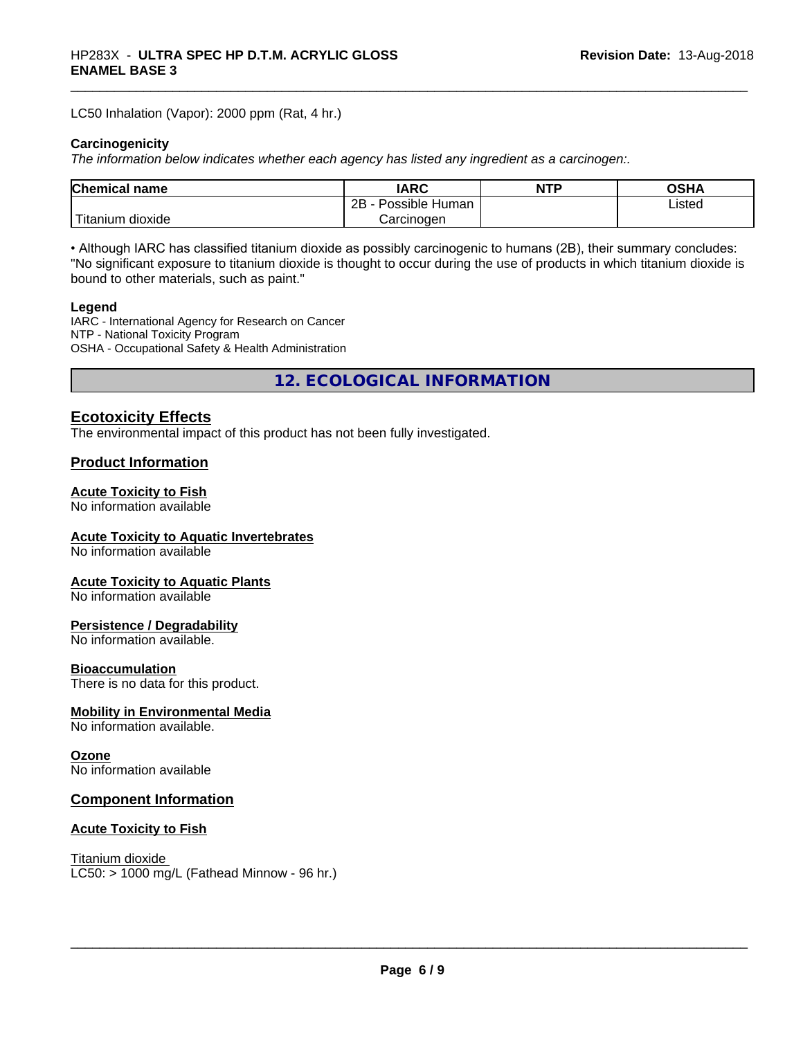LC50 Inhalation (Vapor): 2000 ppm (Rat, 4 hr.)

#### **Carcinogenicity**

*The information below indicateswhether each agency has listed any ingredient as a carcinogen:.*

| <b>Chemical</b><br>name       | <b>IARC</b>                  | <b>NTP</b> | ດເ⊔າ<br>∪J∏≁ |
|-------------------------------|------------------------------|------------|--------------|
|                               | .<br>2B<br>Human<br>Possible |            | Listed       |
| <br>dioxide<br><b>itanium</b> | Carcinogen                   |            |              |

• Although IARC has classified titanium dioxide as possibly carcinogenic to humans (2B), their summary concludes: "No significant exposure to titanium dioxide is thought to occur during the use of products in which titanium dioxide is bound to other materials, such as paint."

#### **Legend**

IARC - International Agency for Research on Cancer NTP - National Toxicity Program OSHA - Occupational Safety & Health Administration

**12. ECOLOGICAL INFORMATION**

#### **Ecotoxicity Effects**

The environmental impact of this product has not been fully investigated.

#### **Product Information**

#### **Acute Toxicity to Fish**

No information available

#### **Acute Toxicity to Aquatic Invertebrates**

No information available

#### **Acute Toxicity to Aquatic Plants**

No information available

#### **Persistence / Degradability**

No information available.

#### **Bioaccumulation**

There is no data for this product.

#### **Mobility in Environmental Media**

No information available.

#### **Ozone**

No information available

#### **Component Information**

#### **Acute Toxicity to Fish**

Titanium dioxide  $LC50: > 1000$  mg/L (Fathead Minnow - 96 hr.)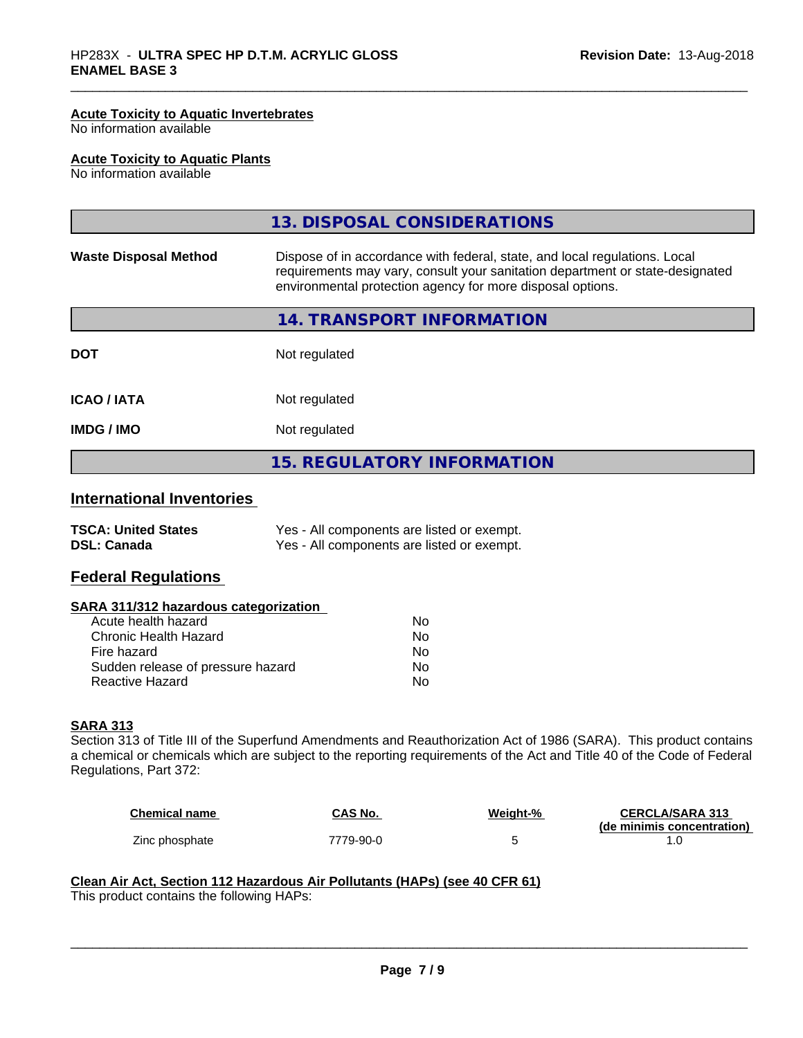#### **Acute Toxicity to Aquatic Invertebrates**

No information available

#### **Acute Toxicity to Aquatic Plants**

No information available

|                              | 13. DISPOSAL CONSIDERATIONS                                                                                                                                                                                               |
|------------------------------|---------------------------------------------------------------------------------------------------------------------------------------------------------------------------------------------------------------------------|
| <b>Waste Disposal Method</b> | Dispose of in accordance with federal, state, and local regulations. Local<br>requirements may vary, consult your sanitation department or state-designated<br>environmental protection agency for more disposal options. |
|                              | 14. TRANSPORT INFORMATION                                                                                                                                                                                                 |
| <b>DOT</b>                   | Not regulated                                                                                                                                                                                                             |
| <b>ICAO/IATA</b>             | Not regulated                                                                                                                                                                                                             |
| <b>IMDG/IMO</b>              | Not regulated                                                                                                                                                                                                             |
|                              | <b>15. REGULATORY INFORMATION</b>                                                                                                                                                                                         |
|                              |                                                                                                                                                                                                                           |

#### **International Inventories**

| <b>TSCA: United States</b> | Yes - All components are listed or exempt. |
|----------------------------|--------------------------------------------|
| <b>DSL: Canada</b>         | Yes - All components are listed or exempt. |

#### **Federal Regulations**

#### **SARA 311/312 hazardous categorization**

| Acute health hazard               | N٥ |
|-----------------------------------|----|
| Chronic Health Hazard             | Nο |
| Fire hazard                       | Nο |
| Sudden release of pressure hazard | Nο |
| Reactive Hazard                   | N٥ |

#### **SARA 313**

Section 313 of Title III of the Superfund Amendments and Reauthorization Act of 1986 (SARA). This product contains a chemical or chemicals which are subject to the reporting requirements of the Act and Title 40 of the Code of Federal Regulations, Part 372:

| <b>Chemical name</b> | CAS No.   | Weight-% | <b>CERCLA/SARA 313</b><br>(de minimis concentration) |
|----------------------|-----------|----------|------------------------------------------------------|
| Zinc phosphate       | 7779-90-0 |          |                                                      |

 $\overline{\phantom{a}}$  ,  $\overline{\phantom{a}}$  ,  $\overline{\phantom{a}}$  ,  $\overline{\phantom{a}}$  ,  $\overline{\phantom{a}}$  ,  $\overline{\phantom{a}}$  ,  $\overline{\phantom{a}}$  ,  $\overline{\phantom{a}}$  ,  $\overline{\phantom{a}}$  ,  $\overline{\phantom{a}}$  ,  $\overline{\phantom{a}}$  ,  $\overline{\phantom{a}}$  ,  $\overline{\phantom{a}}$  ,  $\overline{\phantom{a}}$  ,  $\overline{\phantom{a}}$  ,  $\overline{\phantom{a}}$ 

#### **Clean Air Act,Section 112 Hazardous Air Pollutants (HAPs) (see 40 CFR 61)**

This product contains the following HAPs: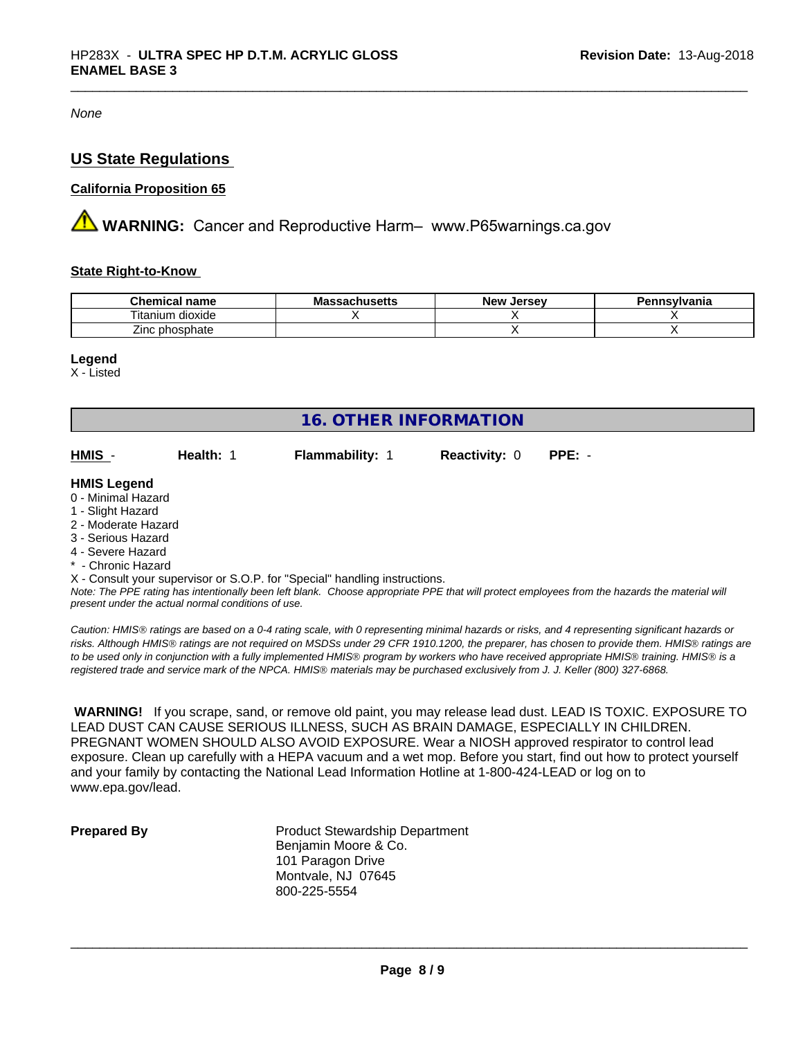*None*

#### **US State Regulations**

#### **California Proposition 65**

**AN** WARNING: Cancer and Reproductive Harm– www.P65warnings.ca.gov

#### **State Right-to-Know**

| <b>Chamisal</b><br>name<br>∟nemica. | .hco.<br>atilystus – | <b>Jersev</b><br>– New ⊺ | าnsvlvania |
|-------------------------------------|----------------------|--------------------------|------------|
| dioxide<br>l itanıum                |                      |                          |            |
| --<br>phosphate<br>∠inc             |                      |                          |            |

#### **Legend**

X - Listed

| <b>16. OTHER INFORMATION</b>                                                                                                                          |                                                    |                                                                            |                      |                                                                                                                                               |
|-------------------------------------------------------------------------------------------------------------------------------------------------------|----------------------------------------------------|----------------------------------------------------------------------------|----------------------|-----------------------------------------------------------------------------------------------------------------------------------------------|
| HMIS -                                                                                                                                                | Health: 1                                          | <b>Flammability: 1</b>                                                     | <b>Reactivity: 0</b> | $PPE: -$                                                                                                                                      |
| <b>HMIS Legend</b><br>0 - Minimal Hazard<br>1 - Slight Hazard<br>2 - Moderate Hazard<br>3 - Serious Hazard<br>4 - Severe Hazard<br>* - Chronic Hazard |                                                    |                                                                            |                      |                                                                                                                                               |
|                                                                                                                                                       | present under the actual normal conditions of use. | X - Consult your supervisor or S.O.P. for "Special" handling instructions. |                      | Note: The PPE rating has intentionally been left blank. Choose appropriate PPE that will protect employees from the hazards the material will |

*Caution: HMISÒ ratings are based on a 0-4 rating scale, with 0 representing minimal hazards or risks, and 4 representing significant hazards or risks. Although HMISÒ ratings are not required on MSDSs under 29 CFR 1910.1200, the preparer, has chosen to provide them. HMISÒ ratings are to be used only in conjunction with a fully implemented HMISÒ program by workers who have received appropriate HMISÒ training. HMISÒ is a registered trade and service mark of the NPCA. HMISÒ materials may be purchased exclusively from J. J. Keller (800) 327-6868.*

 **WARNING!** If you scrape, sand, or remove old paint, you may release lead dust. LEAD IS TOXIC. EXPOSURE TO LEAD DUST CAN CAUSE SERIOUS ILLNESS, SUCH AS BRAIN DAMAGE, ESPECIALLY IN CHILDREN. PREGNANT WOMEN SHOULD ALSO AVOID EXPOSURE. Wear a NIOSH approved respirator to control lead exposure. Clean up carefully with a HEPA vacuum and a wet mop. Before you start, find out how to protect yourself and your family by contacting the National Lead Information Hotline at 1-800-424-LEAD or log on to www.epa.gov/lead.

**Prepared By** Product Stewardship Department Benjamin Moore & Co. 101 Paragon Drive Montvale, NJ 07645 800-225-5554